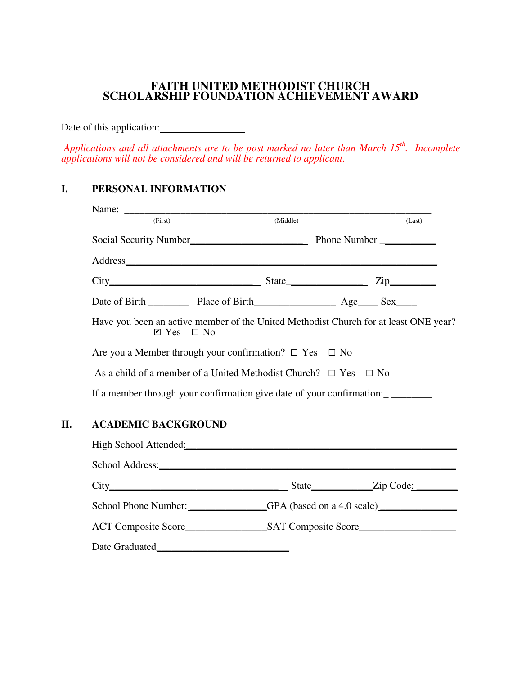## **FAITH UNITED METHODIST CHURCH SCHOLARSHIP FOUNDATION ACHIEVEMENT AWARD**

Date of this application:

 *Applications and all attachments are to be post marked no later than March 15th. Incomplete applications will not be considered and will be returned to applicant.* 

# **I. PERSONAL INFORMATION**

| (First)                                                                                                                      | (Middle)                                                                  |  | (Last) |  |
|------------------------------------------------------------------------------------------------------------------------------|---------------------------------------------------------------------------|--|--------|--|
|                                                                                                                              |                                                                           |  |        |  |
|                                                                                                                              |                                                                           |  |        |  |
|                                                                                                                              |                                                                           |  |        |  |
|                                                                                                                              | Date of Birth Place of Birth Age Sex                                      |  |        |  |
| Have you been an active member of the United Methodist Church for at least ONE year?<br>$\blacksquare$ Yes $\blacksquare$ No |                                                                           |  |        |  |
| Are you a Member through your confirmation? $\Box$ Yes $\Box$ No                                                             |                                                                           |  |        |  |
|                                                                                                                              | As a child of a member of a United Methodist Church? $\Box$ Yes $\Box$ No |  |        |  |
| If a member through your confirmation give date of your confirmation:                                                        |                                                                           |  |        |  |
|                                                                                                                              |                                                                           |  |        |  |

# **II. ACADEMIC BACKGROUND**

| High School Attended: |                                                                                                                                                                                                                                |  |
|-----------------------|--------------------------------------------------------------------------------------------------------------------------------------------------------------------------------------------------------------------------------|--|
|                       |                                                                                                                                                                                                                                |  |
|                       | State <u>Zip Code:</u>                                                                                                                                                                                                         |  |
|                       | School Phone Number: GPA (based on a 4.0 scale)                                                                                                                                                                                |  |
|                       | ACT Composite Score SAT Composite Score SAT Composite Score SAT Composite Score SAT Composite Score SAT Composite Score SAT Composite Score SAT Composite Score SAT Composite Score SAT Composite Score SAT Composite Score SA |  |
|                       |                                                                                                                                                                                                                                |  |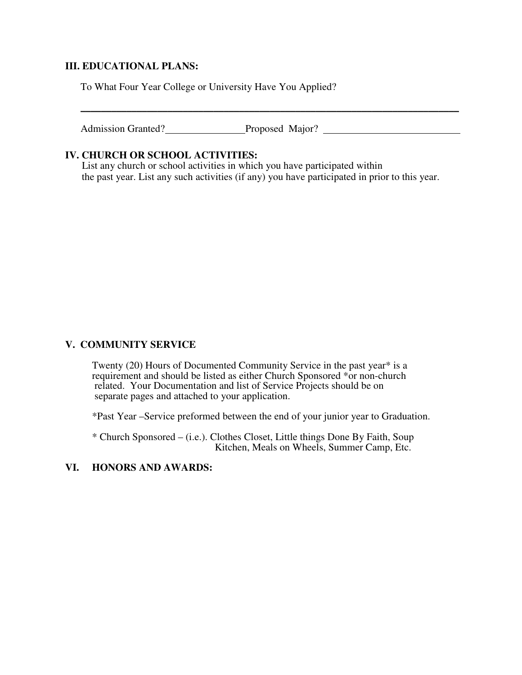### **III. EDUCATIONAL PLANS:**

To What Four Year College or University Have You Applied?

Admission Granted? Proposed Major?

 $\overline{\phantom{a}}$  , and the contract of the contract of the contract of the contract of the contract of the contract of the contract of the contract of the contract of the contract of the contract of the contract of the contrac

#### **IV. CHURCH OR SCHOOL ACTIVITIES:**

 List any church or school activities in which you have participated within the past year. List any such activities (if any) you have participated in prior to this year.

### **V. COMMUNITY SERVICE**

Twenty (20) Hours of Documented Community Service in the past year\* is a requirement and should be listed as either Church Sponsored \*or non-church related. Your Documentation and list of Service Projects should be on separate pages and attached to your application.

\*Past Year –Service preformed between the end of your junior year to Graduation.

 \* Church Sponsored – (i.e.). Clothes Closet, Little things Done By Faith, Soup Kitchen, Meals on Wheels, Summer Camp, Etc.

### **VI. HONORS AND AWARDS:**